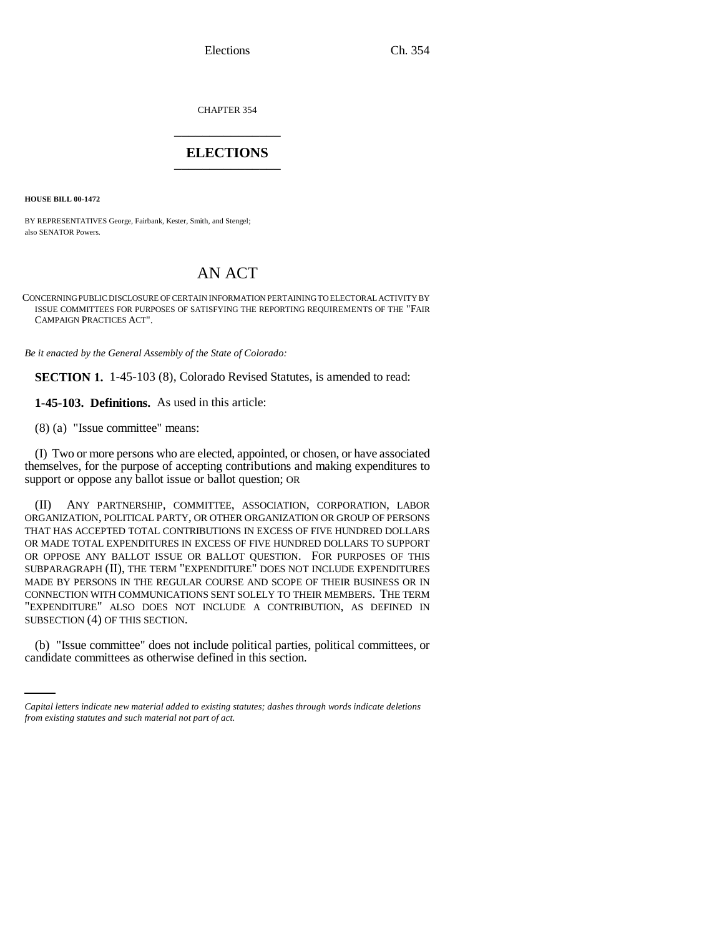Elections Ch. 354

CHAPTER 354 \_\_\_\_\_\_\_\_\_\_\_\_\_\_\_

## **ELECTIONS** \_\_\_\_\_\_\_\_\_\_\_\_\_\_\_

**HOUSE BILL 00-1472** 

BY REPRESENTATIVES George, Fairbank, Kester, Smith, and Stengel; also SENATOR Powers.

## AN ACT

CONCERNING PUBLIC DISCLOSURE OF CERTAIN INFORMATION PERTAINING TO ELECTORAL ACTIVITY BY ISSUE COMMITTEES FOR PURPOSES OF SATISFYING THE REPORTING REQUIREMENTS OF THE "FAIR CAMPAIGN PRACTICES ACT".

*Be it enacted by the General Assembly of the State of Colorado:*

**SECTION 1.** 1-45-103 (8), Colorado Revised Statutes, is amended to read:

**1-45-103. Definitions.** As used in this article:

(8) (a) "Issue committee" means:

(I) Two or more persons who are elected, appointed, or chosen, or have associated themselves, for the purpose of accepting contributions and making expenditures to support or oppose any ballot issue or ballot question; OR

(II) ANY PARTNERSHIP, COMMITTEE, ASSOCIATION, CORPORATION, LABOR ORGANIZATION, POLITICAL PARTY, OR OTHER ORGANIZATION OR GROUP OF PERSONS THAT HAS ACCEPTED TOTAL CONTRIBUTIONS IN EXCESS OF FIVE HUNDRED DOLLARS OR MADE TOTAL EXPENDITURES IN EXCESS OF FIVE HUNDRED DOLLARS TO SUPPORT OR OPPOSE ANY BALLOT ISSUE OR BALLOT QUESTION. FOR PURPOSES OF THIS SUBPARAGRAPH (II), THE TERM "EXPENDITURE" DOES NOT INCLUDE EXPENDITURES MADE BY PERSONS IN THE REGULAR COURSE AND SCOPE OF THEIR BUSINESS OR IN CONNECTION WITH COMMUNICATIONS SENT SOLELY TO THEIR MEMBERS. THE TERM "EXPENDITURE" ALSO DOES NOT INCLUDE A CONTRIBUTION, AS DEFINED IN SUBSECTION (4) OF THIS SECTION.

(b) "Issue committee" does not include political parties, political committees, or candidate committees as otherwise defined in this section.

*Capital letters indicate new material added to existing statutes; dashes through words indicate deletions from existing statutes and such material not part of act.*